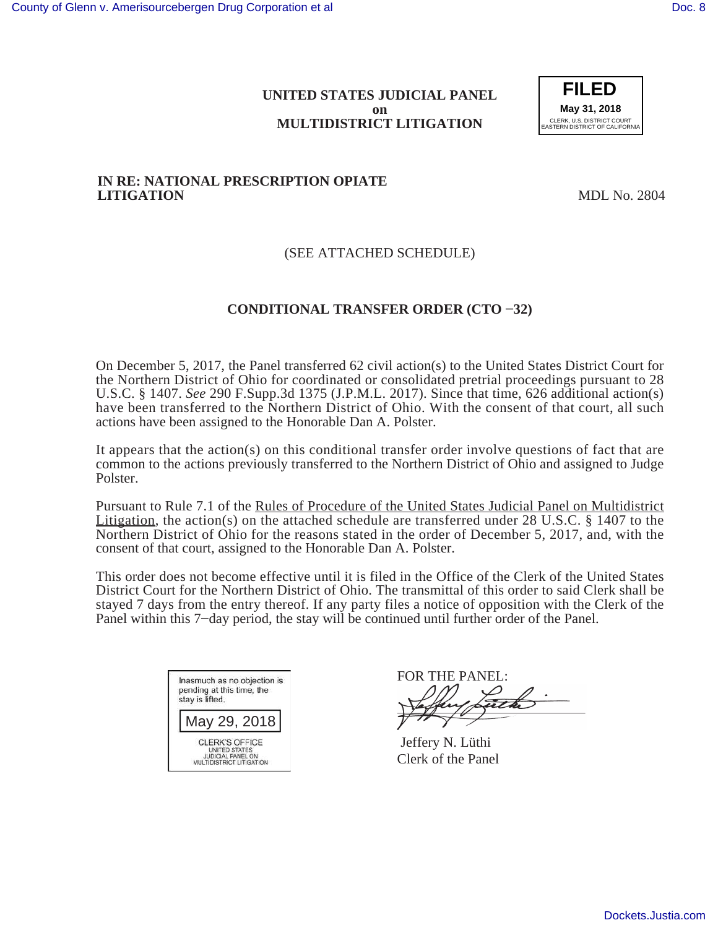### **UNITED STATES JUDICIAL PANEL on MULTIDISTRICT LITIGATION**



## **IN RE: NATIONAL PRESCRIPTION OPIATE LITIGATION** MDL No. 2804

## (SEE ATTACHED SCHEDULE)

# **CONDITIONAL TRANSFER ORDER (CTO &32)**

On December 5, 2017, the Panel transferred 62 civil action(s) to the United States District Court for the Northern District of Ohio for coordinated or consolidated pretrial proceedings pursuant to 28 U.S.C. § 1407. *See* 290 F.Supp.3d 1375 (J.P.M.L. 2017). Since that time, 626 additional action(s) have been transferred to the Northern District of Ohio. With the consent of that court, all such actions have been assigned to the Honorable Dan A. Polster.

It appears that the action(s) on this conditional transfer order involve questions of fact that are common to the actions previously transferred to the Northern District of Ohio and assigned to Judge Polster.

Pursuant to Rule 7.1 of the Rules of Procedure of the United States Judicial Panel on Multidistrict Litigation, the action(s) on the attached schedule are transferred under  $\overline{28 \text{ U.S.C. } }$  \$1407 to the Northern District of Ohio for the reasons stated in the order of December 5, 2017, and, with the consent of that court, assigned to the Honorable Dan A. Polster.

This order does not become effective until it is filed in the Office of the Clerk of the United States District Court for the Northern District of Ohio. The transmittal of this order to said Clerk shall be stayed 7 days from the entry thereof. If any party files a notice of opposition with the Clerk of the Panel within this 7-day period, the stay will be continued until further order of the Panel.



FOR THE PANEL: <del>üeth</del>

 Jeffery N. Lüthi Clerk of the Panel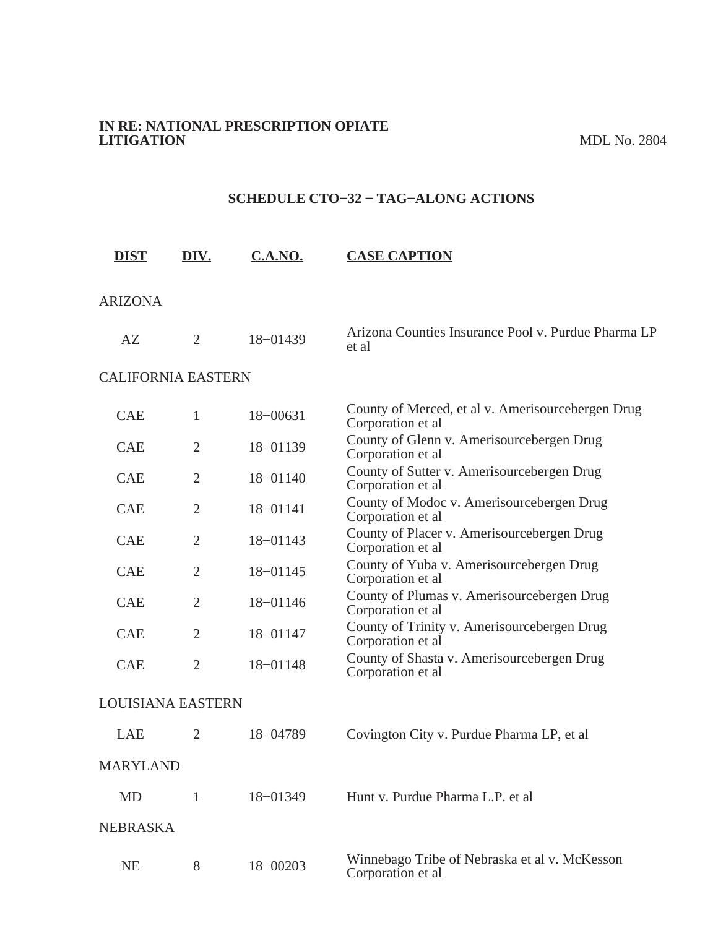#### **IN RE: NATIONAL PRESCRIPTION OPIATE LITIGATION** MDL No. 2804

# **SCHEDULE CTO&32 & TAG&ALONG ACTIONS**

| <b>DIST</b>               | <u>DIV.</u>    | <b>C.A.NO.</b> | <b>CASE CAPTION</b>                                                    |
|---------------------------|----------------|----------------|------------------------------------------------------------------------|
| <b>ARIZONA</b>            |                |                |                                                                        |
| AZ                        | 2              | 18-01439       | Arizona Counties Insurance Pool v. Purdue Pharma LP<br>et al           |
| <b>CALIFORNIA EASTERN</b> |                |                |                                                                        |
| <b>CAE</b>                | 1              | 18-00631       | County of Merced, et al v. Amerisourcebergen Drug<br>Corporation et al |
| <b>CAE</b>                | $\overline{2}$ | 18-01139       | County of Glenn v. Amerisourcebergen Drug<br>Corporation et al         |
| <b>CAE</b>                | $\overline{2}$ | 18-01140       | County of Sutter v. Amerisourcebergen Drug<br>Corporation et al        |
| <b>CAE</b>                | $\overline{2}$ | 18-01141       | County of Modoc v. Amerisourcebergen Drug<br>Corporation et al.        |
| <b>CAE</b>                | $\overline{2}$ | 18-01143       | County of Placer v. Amerisourcebergen Drug<br>Corporation et al        |
| <b>CAE</b>                | $\overline{2}$ | 18-01145       | County of Yuba v. Amerisourcebergen Drug<br>Corporation et al          |
| <b>CAE</b>                | $\overline{2}$ | 18-01146       | County of Plumas v. Amerisourcebergen Drug<br>Corporation et al        |
| <b>CAE</b>                | $\overline{2}$ | 18-01147       | County of Trinity v. Amerisourcebergen Drug<br>Corporation et al       |
| <b>CAE</b>                | $\overline{2}$ | 18-01148       | County of Shasta v. Amerisourcebergen Drug<br>Corporation et al        |
| LOUISIANA EASTERN         |                |                |                                                                        |
| <b>LAE</b>                | 2              | 18-04789       | Covington City v. Purdue Pharma LP, et al                              |
| <b>MARYLAND</b>           |                |                |                                                                        |
| <b>MD</b>                 | 1              | $18 - 01349$   | Hunt v. Purdue Pharma L.P. et al                                       |
| <b>NEBRASKA</b>           |                |                |                                                                        |
| <b>NE</b>                 | 8              | 18-00203       | Winnebago Tribe of Nebraska et al v. McKesson<br>Corporation et al     |